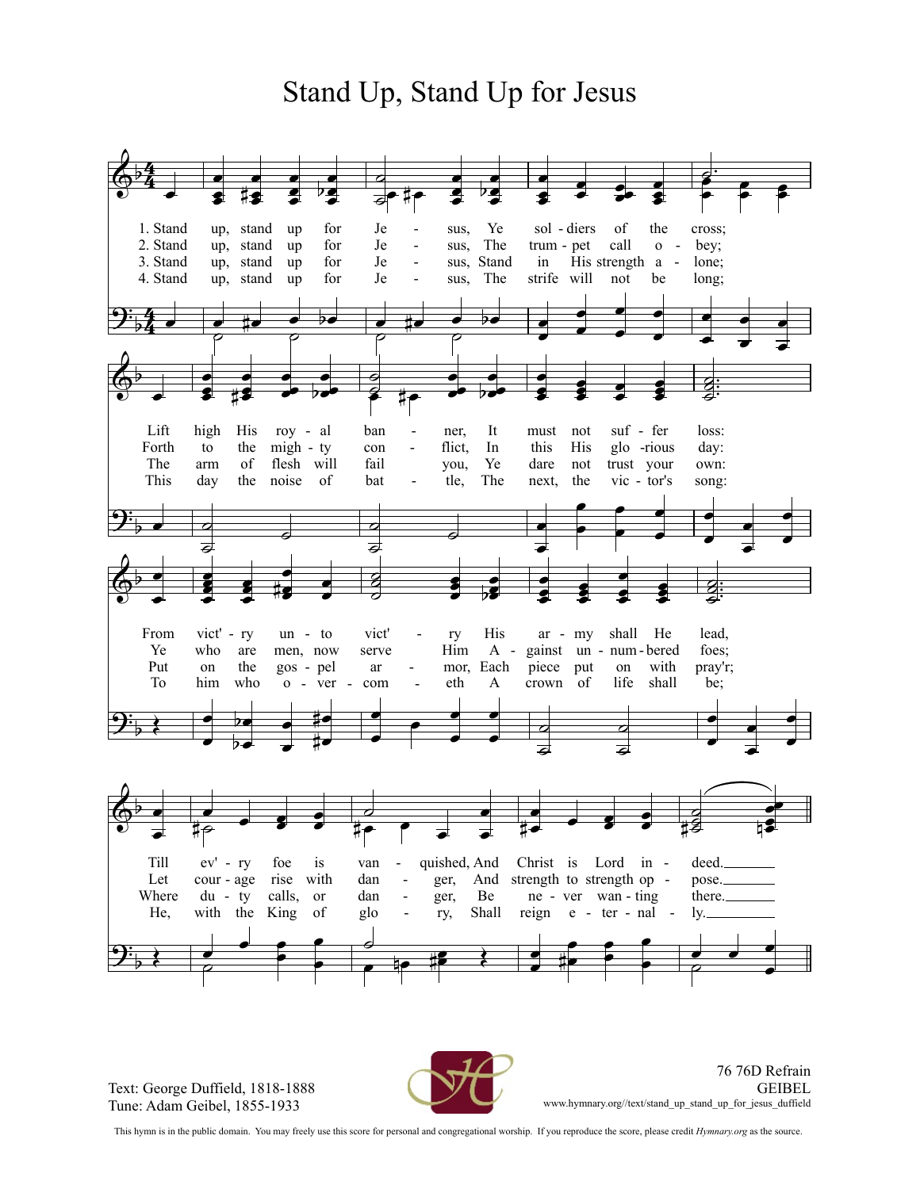## Stand Up, Stand Up for Jesus



Text: George Duffield, 1818-1888 Tune: Adam Geibel, 1855-1933



76 76D Refrain **GEIBEL** www.hymnary.org//text/stand\_up\_stand\_up\_for\_jesus\_duffield

This hymn is in the public domain. You may freely use this score for personal and congregational worship. If you reproduce the score, please credit *Hymnary.org* as the source.